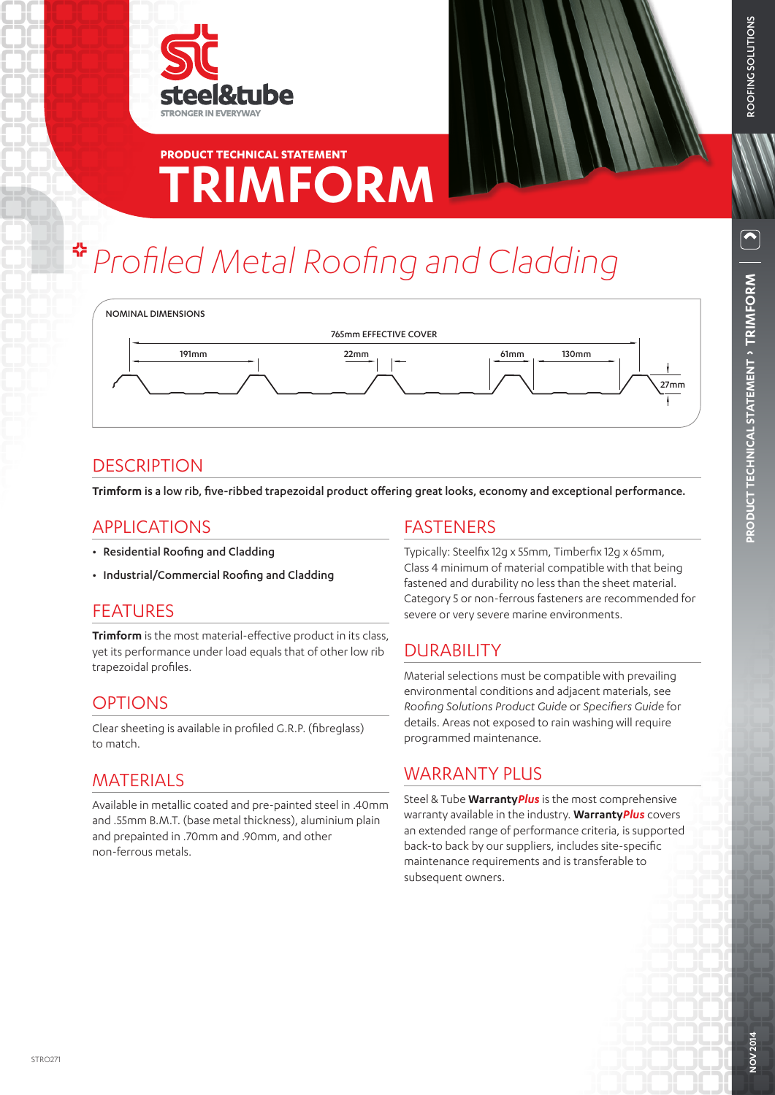

# **TRIMFORM PRODUCT TECHNICAL STATEMENT**

# *Profiled Metal Roofing and Cladding*



# **DESCRIPTION**

**Trimform** is a low rib, five-ribbed trapezoidal product offering great looks, economy and exceptional performance.

#### APPLICATIONS

- Residential Roofing and Cladding
- Industrial/Commercial Roofing and Cladding

# FEATURES

**Trimform** is the most material-effective product in its class, yet its performance under load equals that of other low rib trapezoidal profiles.

# OPTIONS

Clear sheeting is available in profiled G.R.P. (fibreglass) to match.

# **MATERIALS**

Available in metallic coated and pre-painted steel in .40mm and .55mm B.M.T. (base metal thickness), aluminium plain and prepainted in .70mm and .90mm, and other non-ferrous metals.

# FASTENERS

Typically: Steelfix 12g x 55mm, Timberfix 12g x 65mm, Class 4 minimum of material compatible with that being fastened and durability no less than the sheet material. Category 5 or non-ferrous fasteners are recommended for severe or very severe marine environments.

# DURABILITY

Material selections must be compatible with prevailing environmental conditions and adjacent materials, see *Roofing Solutions Product Guide* or *Specifiers Guide* for details. Areas not exposed to rain washing will require programmed maintenance.

# WARRANTY PLUS

Steel & Tube **Warranty***Plus* is the most comprehensive warranty available in the industry. **Warranty***Plus* covers an extended range of performance criteria, is supported back-to back by our suppliers, includes site-specific maintenance requirements and is transferable to subsequent owners.